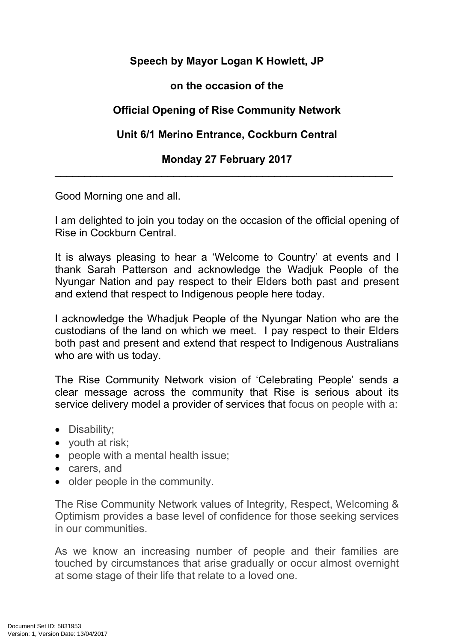### **Speech by Mayor Logan K Howlett, JP**

#### **on the occasion of the**

# **Official Opening of Rise Community Network**

## **Unit 6/1 Merino Entrance, Cockburn Central**

#### **Monday 27 February 2017** \_\_\_\_\_\_\_\_\_\_\_\_\_\_\_\_\_\_\_\_\_\_\_\_\_\_\_\_\_\_\_\_\_\_\_\_\_\_\_\_\_\_\_\_\_\_\_\_\_\_\_\_\_\_\_\_\_

Good Morning one and all.

I am delighted to join you today on the occasion of the official opening of Rise in Cockburn Central.

It is always pleasing to hear a 'Welcome to Country' at events and I thank Sarah Patterson and acknowledge the Wadjuk People of the Nyungar Nation and pay respect to their Elders both past and present and extend that respect to Indigenous people here today.

I acknowledge the Whadjuk People of the Nyungar Nation who are the custodians of the land on which we meet. I pay respect to their Elders both past and present and extend that respect to Indigenous Australians who are with us today.

The Rise Community Network vision of 'Celebrating People' sends a clear message across the community that Rise is serious about its service delivery model a provider of services that focus on people with a:

- Disability;
- youth at risk;
- people with a mental health issue;
- carers, and
- older people in the community.

The Rise Community Network values of Integrity, Respect, Welcoming & Optimism provides a base level of confidence for those seeking services in our communities.

As we know an increasing number of people and their families are touched by circumstances that arise gradually or occur almost overnight at some stage of their life that relate to a loved one.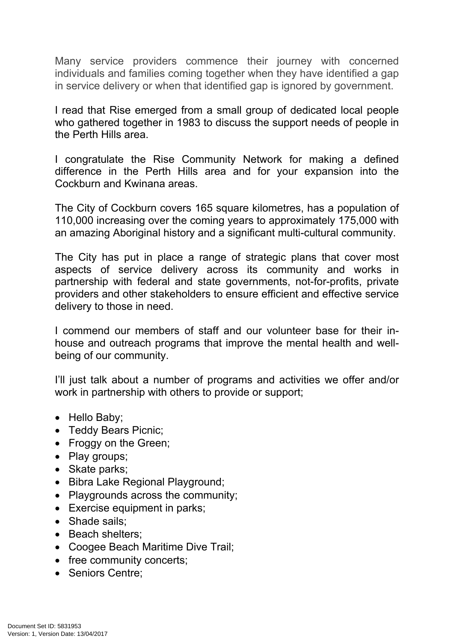Many service providers commence their journey with concerned individuals and families coming together when they have identified a gap in service delivery or when that identified gap is ignored by government.

I read that Rise emerged from a small group of dedicated local people who gathered together in 1983 to discuss the support needs of people in the Perth Hills area.

I congratulate the Rise Community Network for making a defined difference in the Perth Hills area and for your expansion into the Cockburn and Kwinana areas.

The City of Cockburn covers 165 square kilometres, has a population of 110,000 increasing over the coming years to approximately 175,000 with an amazing Aboriginal history and a significant multi-cultural community.

The City has put in place a range of strategic plans that cover most aspects of service delivery across its community and works in partnership with federal and state governments, not-for-profits, private providers and other stakeholders to ensure efficient and effective service delivery to those in need.

I commend our members of staff and our volunteer base for their inhouse and outreach programs that improve the mental health and wellbeing of our community.

I'll just talk about a number of programs and activities we offer and/or work in partnership with others to provide or support;

- Hello Baby;
- Teddy Bears Picnic:
- Froggy on the Green;
- Play groups;
- Skate parks;
- Bibra Lake Regional Playground;
- Playgrounds across the community;
- Exercise equipment in parks;
- Shade sails:
- Beach shelters:
- Coogee Beach Maritime Dive Trail;
- free community concerts;
- Seniors Centre: